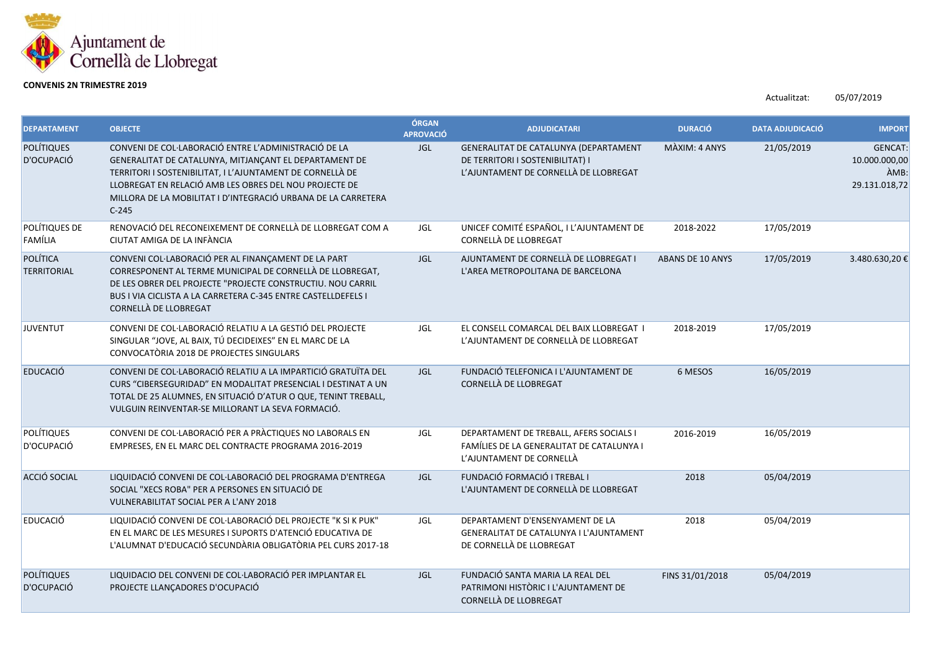

## **CONVENIS 2N TRIMESTRE 2019**

Actualitzat: 05/07/2019

| <b>DEPARTAMENT</b>              | <b>OBJECTE</b>                                                                                                                                                                                                                                                                                                    | ÓRGAN<br><b>APROVACIÓ</b> | <b>ADJUDICATARI</b>                                                                                                | <b>DURACIÓ</b>          | <b>DATA ADJUDICACIÓ</b> | <b>IMPORT</b>                                            |
|---------------------------------|-------------------------------------------------------------------------------------------------------------------------------------------------------------------------------------------------------------------------------------------------------------------------------------------------------------------|---------------------------|--------------------------------------------------------------------------------------------------------------------|-------------------------|-------------------------|----------------------------------------------------------|
| <b>POLÍTIQUES</b><br>D'OCUPACIÓ | CONVENI DE COL·LABORACIÓ ENTRE L'ADMINISTRACIÓ DE LA<br>GENERALITAT DE CATALUNYA, MITJANÇANT EL DEPARTAMENT DE<br>TERRITORI I SOSTENIBILITAT, I L'AJUNTAMENT DE CORNELLÀ DE<br>LLOBREGAT EN RELACIÓ AMB LES OBRES DEL NOU PROJECTE DE<br>MILLORA DE LA MOBILITAT I D'INTEGRACIÓ URBANA DE LA CARRETERA<br>$C-245$ | <b>JGL</b>                | GENERALITAT DE CATALUNYA (DEPARTAMENT<br>DE TERRITORI I SOSTENIBILITAT) I<br>L'AJUNTAMENT DE CORNELLÀ DE LLOBREGAT | MÀXIM: 4 ANYS           | 21/05/2019              | <b>GENCAT:</b><br>10.000.000,00<br>ÀMB:<br>29.131.018,72 |
| POLÍTIQUES DE<br>FAMÍLIA        | RENOVACIÓ DEL RECONEIXEMENT DE CORNELLÀ DE LLOBREGAT COM A<br>CIUTAT AMIGA DE LA INFÀNCIA                                                                                                                                                                                                                         | JGL                       | UNICEF COMITÉ ESPAÑOL, I L'AJUNTAMENT DE<br>CORNELLÀ DE LLOBREGAT                                                  | 2018-2022               | 17/05/2019              |                                                          |
| POLÍTICA<br><b>TERRITORIAL</b>  | CONVENI COL·LABORACIÓ PER AL FINANÇAMENT DE LA PART<br>CORRESPONENT AL TERME MUNICIPAL DE CORNELLÀ DE LLOBREGAT,<br>DE LES OBRER DEL PROJECTE "PROJECTE CONSTRUCTIU. NOU CARRIL<br>BUS I VIA CICLISTA A LA CARRETERA C-345 ENTRE CASTELLDEFELS I<br>CORNELLÀ DE LLOBREGAT                                         | <b>JGL</b>                | AJUNTAMENT DE CORNELLÀ DE LLOBREGAT I<br>L'AREA METROPOLITANA DE BARCELONA                                         | <b>ABANS DE 10 ANYS</b> | 17/05/2019              | 3.480.630,20€                                            |
| <b>JUVENTUT</b>                 | CONVENI DE COL·LABORACIÓ RELATIU A LA GESTIÓ DEL PROJECTE<br>SINGULAR "JOVE, AL BAIX, TÚ DECIDEIXES" EN EL MARC DE LA<br>CONVOCATÒRIA 2018 DE PROJECTES SINGULARS                                                                                                                                                 | JGL                       | EL CONSELL COMARCAL DEL BAIX LLOBREGAT I<br>L'AJUNTAMENT DE CORNELLÀ DE LLOBREGAT                                  | 2018-2019               | 17/05/2019              |                                                          |
| <b>EDUCACIÓ</b>                 | CONVENI DE COL·LABORACIÓ RELATIU A LA IMPARTICIÓ GRATUÏTA DEL<br>CURS "CIBERSEGURIDAD" EN MODALITAT PRESENCIAL I DESTINAT A UN<br>TOTAL DE 25 ALUMNES, EN SITUACIÓ D'ATUR O QUE, TENINT TREBALL,<br>VULGUIN REINVENTAR-SE MILLORANT LA SEVA FORMACIÓ.                                                             | JGL                       | FUNDACIÓ TELEFONICA I L'AJUNTAMENT DE<br>CORNELLÀ DE LLOBREGAT                                                     | 6 MESOS                 | 16/05/2019              |                                                          |
| POLÍTIQUES<br>D'OCUPACIÓ        | CONVENI DE COL·LABORACIÓ PER A PRÀCTIQUES NO LABORALS EN<br>EMPRESES, EN EL MARC DEL CONTRACTE PROGRAMA 2016-2019                                                                                                                                                                                                 | JGL                       | DEPARTAMENT DE TREBALL, AFERS SOCIALS I<br>FAMÍLIES DE LA GENERALITAT DE CATALUNYA I<br>L'AJUNTAMENT DE CORNELLÀ   | 2016-2019               | 16/05/2019              |                                                          |
| ACCIÓ SOCIAL                    | LIQUIDACIÓ CONVENI DE COL·LABORACIÓ DEL PROGRAMA D'ENTREGA<br>SOCIAL "XECS ROBA" PER A PERSONES EN SITUACIÓ DE<br><b>VULNERABILITAT SOCIAL PER A L'ANY 2018</b>                                                                                                                                                   | <b>JGL</b>                | FUNDACIÓ FORMACIÓ I TREBAL I<br>L'AJUNTAMENT DE CORNELLÀ DE LLOBREGAT                                              | 2018                    | 05/04/2019              |                                                          |
| <b>EDUCACIÓ</b>                 | LIQUIDACIÓ CONVENI DE COL·LABORACIÓ DEL PROJECTE "K SI K PUK"<br>EN EL MARC DE LES MESURES I SUPORTS D'ATENCIÓ EDUCATIVA DE<br>L'ALUMNAT D'EDUCACIÓ SECUNDÀRIA OBLIGATÒRIA PEL CURS 2017-18                                                                                                                       | JGL                       | DEPARTAMENT D'ENSENYAMENT DE LA<br>GENERALITAT DE CATALUNYA I L'AJUNTAMENT<br>DE CORNELLÀ DE LLOBREGAT             | 2018                    | 05/04/2019              |                                                          |
| <b>POLÍTIQUES</b><br>D'OCUPACIÓ | LIQUIDACIO DEL CONVENI DE COL·LABORACIÓ PER IMPLANTAR EL<br>PROJECTE LLANÇADORES D'OCUPACIÓ                                                                                                                                                                                                                       | <b>JGL</b>                | FUNDACIÓ SANTA MARIA LA REAL DEL<br>PATRIMONI HISTÒRIC I L'AJUNTAMENT DE<br>CORNELLÀ DE LLOBREGAT                  | FINS 31/01/2018         | 05/04/2019              |                                                          |